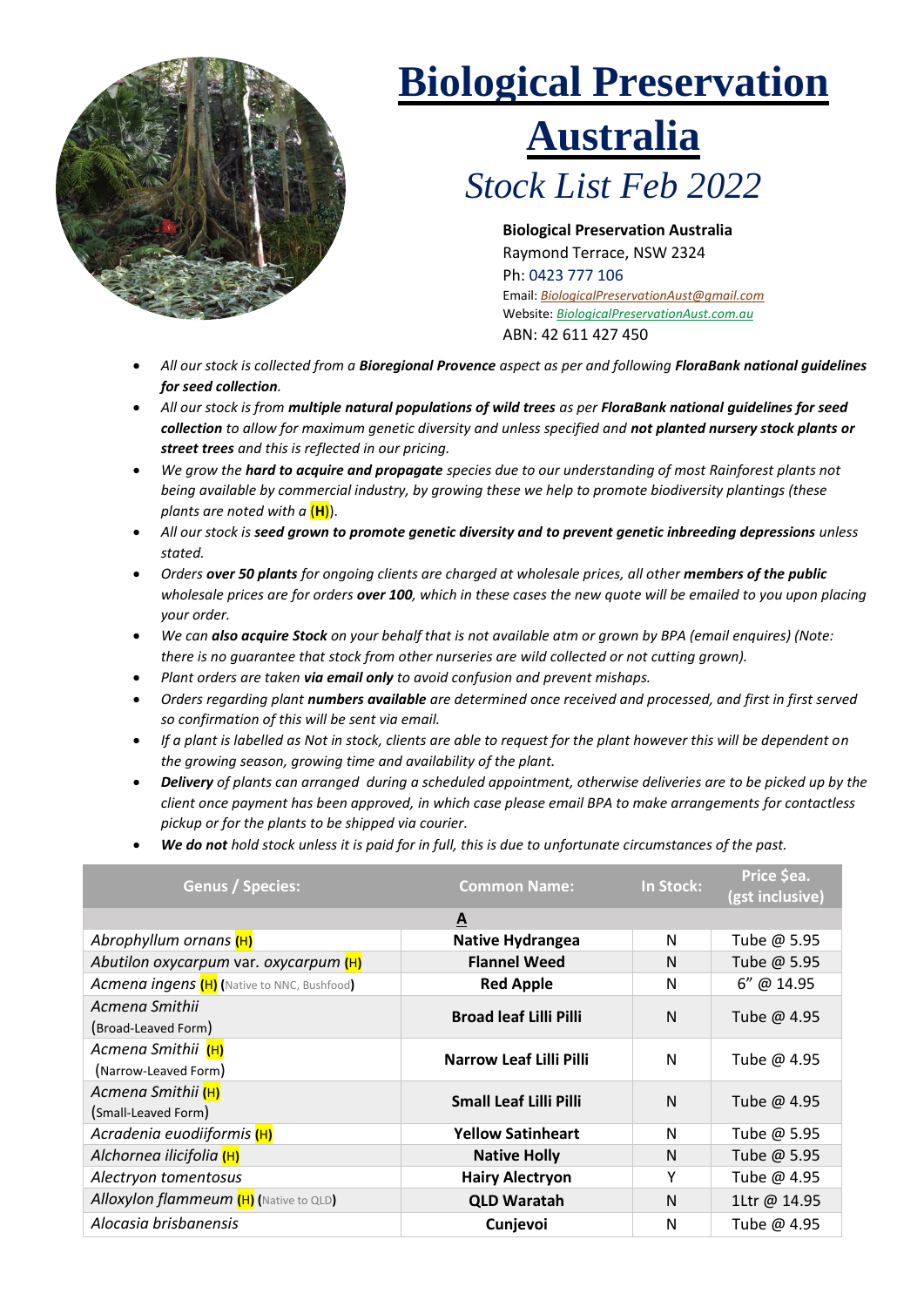

## **Biological Preservation**

## **Australia**

*Stock List Feb 2022*

**Biological Preservation Australia**  Raymond Terrace, NSW 2324 Ph: 0423 777 106 Email: *BiologicalPreservationAust@gmail.com* Website: *BiologicalPreservationAust.com.au* ABN: 42 611 427 450

- *All our stock is collected from a Bioregional Provence aspect as per and following FloraBank national guidelines for seed collection.*
- *All our stock is from multiple natural populations of wild trees as per FloraBank national guidelines for seed collection to allow for maximum genetic diversity and unless specified and not planted nursery stock plants or street trees and this is reflected in our pricing.*
- *We grow the hard to acquire and propagate species due to our understanding of most Rainforest plants not being available by commercial industry, by growing these we help to promote biodiversity plantings (these plants are noted with a* (**H**)).
- *All our stock is seed grown to promote genetic diversity and to prevent genetic inbreeding depressions unless stated.*
- *Orders over 50 plants for ongoing clients are charged at wholesale prices, all other members of the public wholesale prices are for orders over 100, which in these cases the new quote will be emailed to you upon placing your order.*
- *We can also acquire Stock on your behalf that is not available atm or grown by BPA (email enquires) (Note: there is no guarantee that stock from other nurseries are wild collected or not cutting grown).*
- *Plant orders are taken via email only to avoid confusion and prevent mishaps.*
- *Orders regarding plant numbers available are determined once received and processed, and first in first served so confirmation of this will be sent via email.*
- *If a plant is labelled as Not in stock, clients are able to request for the plant however this will be dependent on the growing season, growing time and availability of the plant.*
- *Delivery of plants can arranged during a scheduled appointment, otherwise deliveries are to be picked up by the client once payment has been approved, in which case please email BPA to make arrangements for contactless pickup or for the plants to be shipped via courier.*
- *We do not hold stock unless it is paid for in full, this is due to unfortunate circumstances of the past.*

| <b>Genus / Species:</b>                            | <b>Common Name:</b>            | In Stock: | Price \$ea.<br>(gst inclusive) |  |  |  |
|----------------------------------------------------|--------------------------------|-----------|--------------------------------|--|--|--|
| A                                                  |                                |           |                                |  |  |  |
| Abrophyllum ornans (H)                             | Native Hydrangea               | N         | Tube @ 5.95                    |  |  |  |
| Abutilon oxycarpum var. oxycarpum (H)              | <b>Flannel Weed</b>            | N         | Tube @ 5.95                    |  |  |  |
| <b>Acmena ingens (H)</b> (Native to NNC, Bushfood) | <b>Red Apple</b>               | N         | 6" @ 14.95                     |  |  |  |
| Acmena Smithii                                     | <b>Broad leaf Lilli Pilli</b>  | N         | Tube @ 4.95                    |  |  |  |
| (Broad-Leaved Form)                                |                                |           |                                |  |  |  |
| Acmena Smithii (H)                                 | <b>Narrow Leaf Lilli Pilli</b> | N         | Tube @ 4.95                    |  |  |  |
| (Narrow-Leaved Form)                               |                                |           |                                |  |  |  |
| Acmena Smithii (H)                                 | <b>Small Leaf Lilli Pilli</b>  | N         | Tube @ 4.95                    |  |  |  |
| (Small-Leaved Form)                                |                                |           |                                |  |  |  |
| Acradenia euodiiformis (H)                         | <b>Yellow Satinheart</b>       | N         | Tube @ 5.95                    |  |  |  |
| Alchornea ilicifolia (H)                           | <b>Native Holly</b>            | N         | Tube @ 5.95                    |  |  |  |
| Alectryon tomentosus                               | <b>Hairy Alectryon</b>         | Y         | Tube @ 4.95                    |  |  |  |
| Alloxylon flammeum (H) (Native to QLD)             | <b>QLD Waratah</b>             | N         | 1Ltr @ 14.95                   |  |  |  |
| Alocasia brisbanensis                              | Cunjevoi                       | N         | Tube @ 4.95                    |  |  |  |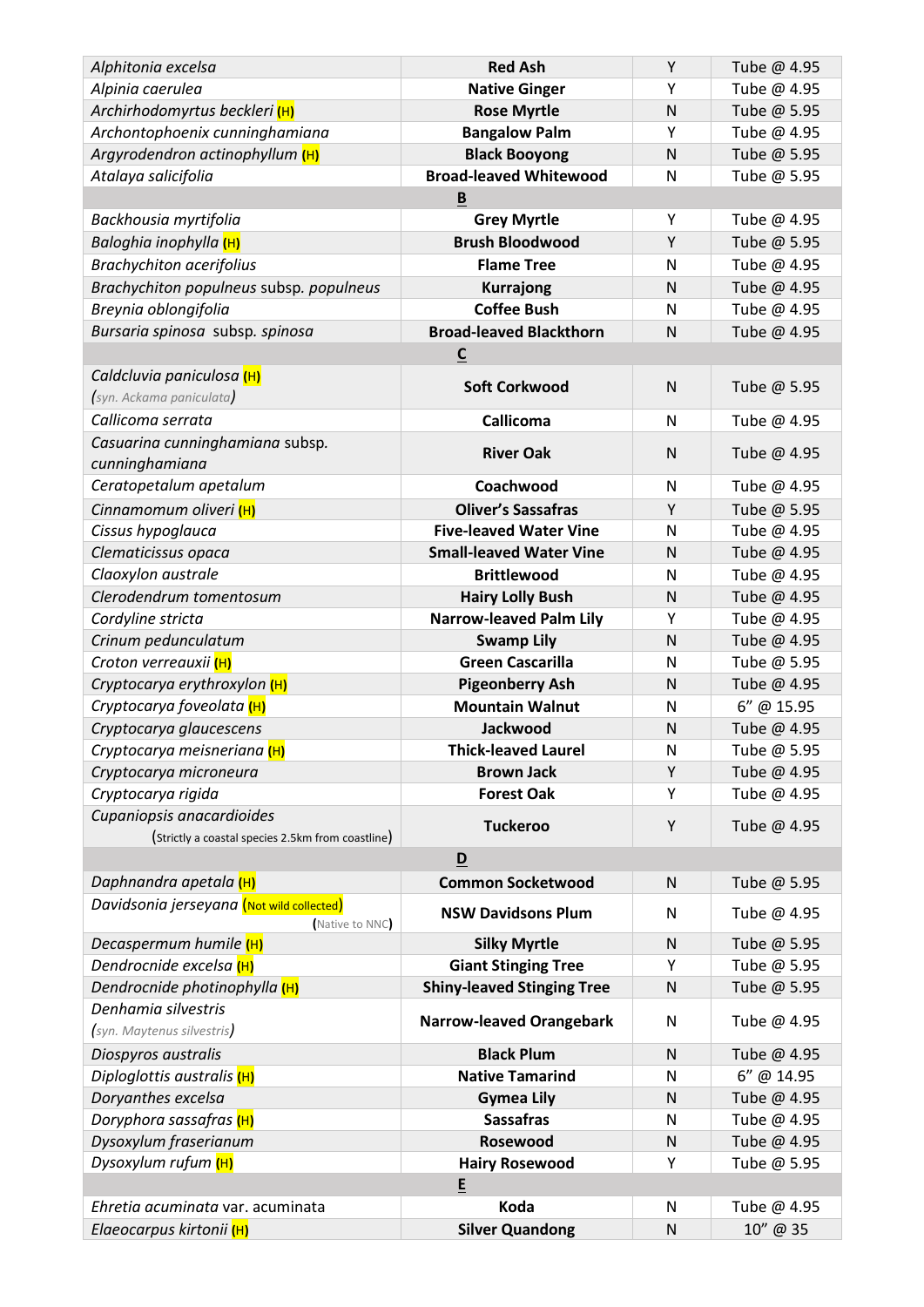| Alphitonia excelsa                                | <b>Red Ash</b>                               | Υ            | Tube @ 4.95                |  |
|---------------------------------------------------|----------------------------------------------|--------------|----------------------------|--|
| Alpinia caerulea                                  | <b>Native Ginger</b>                         | Y            | Tube @ 4.95                |  |
| Archirhodomyrtus beckleri (H)                     | <b>Rose Myrtle</b>                           | $\mathsf{N}$ | Tube @ 5.95                |  |
| Archontophoenix cunninghamiana                    | <b>Bangalow Palm</b>                         | Υ            | Tube @ 4.95                |  |
| Argyrodendron actinophyllum (H)                   | <b>Black Booyong</b>                         | $\mathsf{N}$ | Tube @ 5.95                |  |
| Atalaya salicifolia                               | <b>Broad-leaved Whitewood</b>                | $\mathsf{N}$ | Tube @ 5.95                |  |
|                                                   | B                                            |              |                            |  |
| Backhousia myrtifolia                             | <b>Grey Myrtle</b>                           | Υ            | Tube @ 4.95                |  |
| Baloghia inophylla (H)                            | <b>Brush Bloodwood</b>                       | Υ            | Tube @ 5.95                |  |
| <b>Brachychiton acerifolius</b>                   | <b>Flame Tree</b>                            | N            | Tube @ 4.95                |  |
| Brachychiton populneus subsp. populneus           | <b>Kurrajong</b>                             | $\mathsf{N}$ | Tube @ 4.95                |  |
| Breynia oblongifolia                              | <b>Coffee Bush</b>                           | N            | Tube @ 4.95                |  |
| Bursaria spinosa subsp. spinosa                   | <b>Broad-leaved Blackthorn</b>               | N            | Tube @ 4.95                |  |
|                                                   | $\underline{\mathsf{C}}$                     |              |                            |  |
| Caldcluvia paniculosa (H)                         | <b>Soft Corkwood</b>                         | N            | Tube @ 5.95                |  |
| syn. Ackama paniculata)                           |                                              |              |                            |  |
| Callicoma serrata                                 | <b>Callicoma</b>                             | N            | Tube @ 4.95                |  |
| Casuarina cunninghamiana subsp.                   | <b>River Oak</b>                             | N            | Tube @ 4.95                |  |
| cunninghamiana                                    |                                              |              |                            |  |
| Ceratopetalum apetalum                            | Coachwood                                    | N            | Tube @ 4.95                |  |
| Cinnamomum oliveri (H)                            | <b>Oliver's Sassafras</b>                    | Y            | Tube @ 5.95                |  |
| Cissus hypoglauca                                 | <b>Five-leaved Water Vine</b>                | N            | Tube @ 4.95                |  |
| Clematicissus opaca                               | <b>Small-leaved Water Vine</b>               | N            | Tube @ 4.95                |  |
| Claoxylon australe<br>Clerodendrum tomentosum     | <b>Brittlewood</b>                           | N            | Tube @ 4.95                |  |
|                                                   | <b>Hairy Lolly Bush</b>                      | $\mathsf{N}$ | Tube @ 4.95                |  |
| Cordyline stricta                                 | <b>Narrow-leaved Palm Lily</b>               | Y<br>N       | Tube @ 4.95                |  |
| Crinum pedunculatum<br>Croton verreauxii (H)      | <b>Swamp Lily</b><br><b>Green Cascarilla</b> | N            | Tube @ 4.95<br>Tube @ 5.95 |  |
| Cryptocarya erythroxylon (H)                      | <b>Pigeonberry Ash</b>                       | $\mathsf{N}$ | Tube @ 4.95                |  |
| Cryptocarya foveolata (H)                         | <b>Mountain Walnut</b>                       | $\mathsf{N}$ | 6" @ 15.95                 |  |
| Cryptocarya glaucescens                           | <b>Jackwood</b>                              | $\mathsf{N}$ | Tube @ 4.95                |  |
| Cryptocarya meisneriana (H)                       | <b>Thick-leaved Laurel</b>                   | N            | Tube @ 5.95                |  |
| Cryptocarya microneura                            | <b>Brown Jack</b>                            | Υ            | Tube @ 4.95                |  |
| Cryptocarya rigida                                | <b>Forest Oak</b>                            | Υ            | Tube @ 4.95                |  |
| Cupaniopsis anacardioides                         |                                              |              |                            |  |
| (Strictly a coastal species 2.5km from coastline) | <b>Tuckeroo</b>                              | Y            | Tube @ 4.95                |  |
|                                                   | D                                            |              |                            |  |
| Daphnandra apetala (H)                            | <b>Common Socketwood</b>                     | ${\sf N}$    | Tube @ 5.95                |  |
| Davidsonia jerseyana (Not wild collected)         | <b>NSW Davidsons Plum</b>                    | N            | Tube @ 4.95                |  |
| Native to NNC<br>Decaspermum humile (H)           | <b>Silky Myrtle</b>                          | ${\sf N}$    | Tube @ 5.95                |  |
| Dendrocnide excelsa (H)                           | <b>Giant Stinging Tree</b>                   | Υ            | Tube @ 5.95                |  |
| Dendrocnide photinophylla (H)                     | <b>Shiny-leaved Stinging Tree</b>            | ${\sf N}$    | Tube @ 5.95                |  |
| Denhamia silvestris                               |                                              |              |                            |  |
| (syn. Maytenus silvestris)                        | <b>Narrow-leaved Orangebark</b>              | $\mathsf{N}$ | Tube @ 4.95                |  |
| Diospyros australis                               | <b>Black Plum</b>                            | ${\sf N}$    | Tube @ 4.95                |  |
| Diploglottis australis (H)                        | <b>Native Tamarind</b>                       | N            | 6" @ 14.95                 |  |
| Doryanthes excelsa                                | <b>Gymea Lily</b>                            | N            | Tube @ 4.95                |  |
| Doryphora sassafras (H)                           | <b>Sassafras</b>                             | N            | Tube @ 4.95                |  |
| Dysoxylum fraserianum                             | Rosewood                                     | N            | Tube @ 4.95                |  |
| Dysoxylum rufum <mark>(H)</mark>                  | <b>Hairy Rosewood</b>                        | Υ            | Tube @ 5.95                |  |
| E                                                 |                                              |              |                            |  |
| Ehretia acuminata var. acuminata                  | Koda                                         | N            | Tube @ 4.95                |  |
| Elaeocarpus kirtonii (H)                          | <b>Silver Quandong</b>                       | ${\sf N}$    | 10" @ 35                   |  |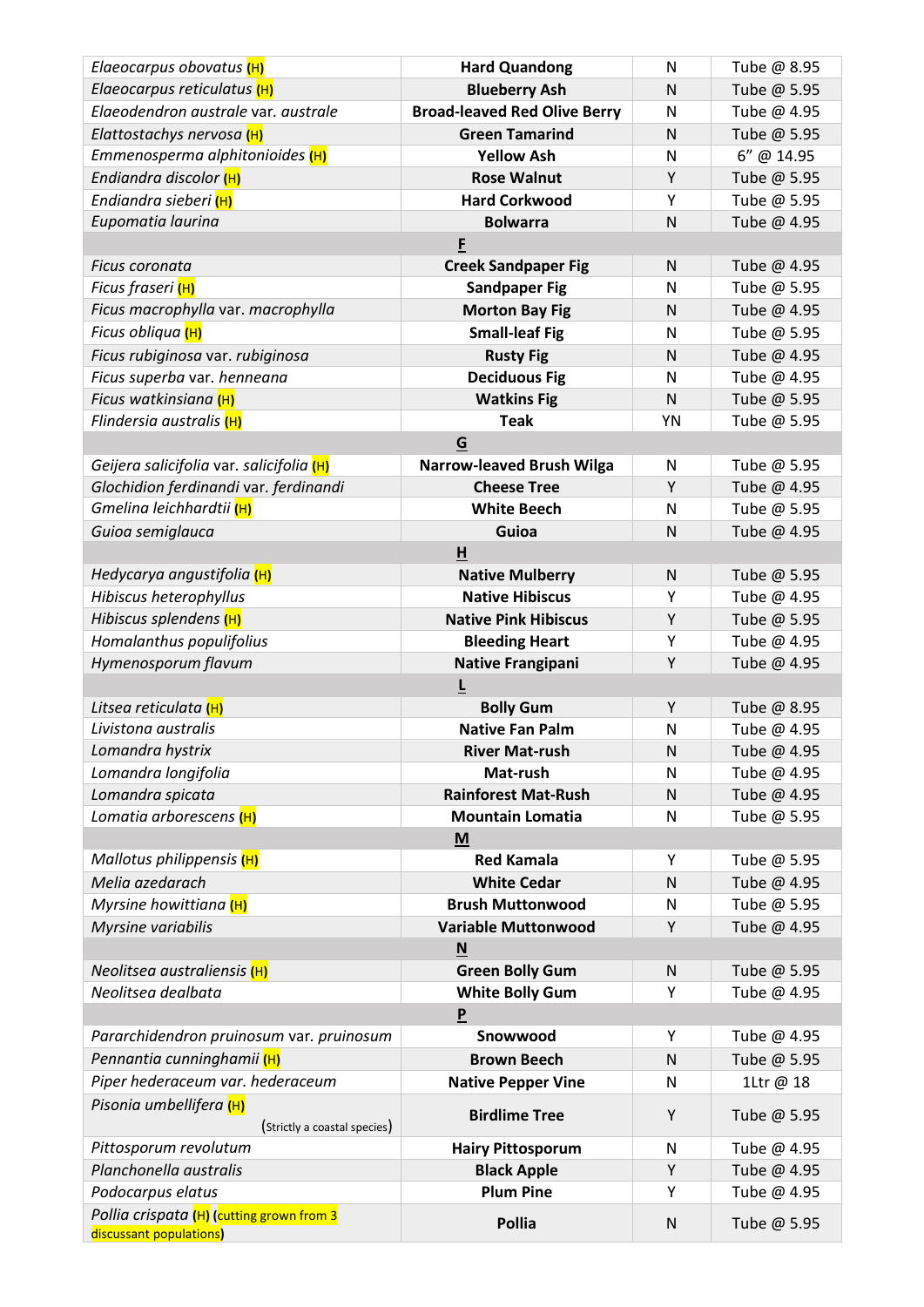| Elaeocarpus obovatus (H)                     | <b>Hard Quandong</b>                       | N              | Tube @ 8.95                |  |  |
|----------------------------------------------|--------------------------------------------|----------------|----------------------------|--|--|
| Elaeocarpus reticulatus (H)                  | <b>Blueberry Ash</b>                       | N              | Tube @ 5.95                |  |  |
| Elaeodendron australe var. australe          | <b>Broad-leaved Red Olive Berry</b>        | ${\sf N}$      | Tube @ 4.95                |  |  |
| Elattostachys nervosa (H)                    | <b>Green Tamarind</b>                      | N              | Tube @ 5.95                |  |  |
| Emmenosperma alphitonioides (H)              | <b>Yellow Ash</b>                          | $\mathsf{N}$   | 6" @ 14.95                 |  |  |
| Endiandra discolor (H)                       | <b>Rose Walnut</b>                         | Υ              | Tube @ 5.95                |  |  |
| Endiandra sieberi (H)                        | <b>Hard Corkwood</b>                       | Y              | Tube @ 5.95                |  |  |
| Eupomatia laurina                            | <b>Bolwarra</b>                            | $\mathsf{N}$   | Tube @ 4.95                |  |  |
|                                              | F                                          |                |                            |  |  |
| Ficus coronata                               | <b>Creek Sandpaper Fig</b>                 | N              | Tube @ 4.95                |  |  |
| Ficus fraseri <mark>(H)</mark>               | <b>Sandpaper Fig</b>                       | N              | Tube @ 5.95                |  |  |
| Ficus macrophylla var. macrophylla           | <b>Morton Bay Fig</b>                      | N              | Tube @ 4.95                |  |  |
| Ficus obliqua <mark>(H)</mark>               | <b>Small-leaf Fig</b>                      | ${\sf N}$      | Tube @ 5.95                |  |  |
| Ficus rubiginosa var. rubiginosa             | <b>Rusty Fig</b>                           | $\mathsf{N}$   | Tube @ 4.95                |  |  |
| Ficus superba var. henneana                  | <b>Deciduous Fig</b>                       | N              | Tube @ 4.95                |  |  |
| Ficus watkinsiana (H)                        | <b>Watkins Fig</b>                         | $\mathsf{N}$   | Tube @ 5.95                |  |  |
| Flindersia australis (H)                     | <b>Teak</b>                                | YN             | Tube @ 5.95                |  |  |
|                                              | G                                          |                |                            |  |  |
| Geijera salicifolia var. salicifolia (H)     | <b>Narrow-leaved Brush Wilga</b>           | N              | Tube @ 5.95                |  |  |
| Glochidion ferdinandi var. ferdinandi        | <b>Cheese Tree</b>                         | Υ              | Tube @ 4.95                |  |  |
| Gmelina leichhardtii (H)                     | <b>White Beech</b>                         | N              | Tube @ 5.95                |  |  |
| Guioa semiglauca                             | Guioa                                      | $\mathsf{N}$   | Tube @ 4.95                |  |  |
|                                              | H                                          |                |                            |  |  |
| Hedycarya angustifolia (H)                   | <b>Native Mulberry</b>                     | ${\sf N}$      | Tube @ 5.95                |  |  |
| Hibiscus heterophyllus                       | <b>Native Hibiscus</b>                     | Υ              | Tube @ 4.95                |  |  |
| Hibiscus splendens (H)                       | <b>Native Pink Hibiscus</b>                | Υ              | Tube @ 5.95                |  |  |
| Homalanthus populifolius                     | <b>Bleeding Heart</b>                      | Υ              | Tube @ 4.95                |  |  |
| Hymenosporum flavum                          | <b>Native Frangipani</b>                   | Υ              | Tube @ 4.95                |  |  |
|                                              | $\overline{\mathsf{r}}$                    |                |                            |  |  |
| Litsea reticulata (H)<br>Livistona australis | <b>Bolly Gum</b><br><b>Native Fan Palm</b> | Υ<br>${\sf N}$ | Tube @ 8.95<br>Tube @ 4.95 |  |  |
| Lomandra hystrix                             | <b>River Mat-rush</b>                      | N              | Tube @ 4.95                |  |  |
| Lomandra longifolia                          |                                            |                | Tube @ 4.95                |  |  |
| Lomandra spicata                             | Mat-rush<br><b>Rainforest Mat-Rush</b>     | N<br>${\sf N}$ | Tube @ 4.95                |  |  |
| Lomatia arborescens (H)                      | <b>Mountain Lomatia</b>                    | ${\sf N}$      | Tube @ 5.95                |  |  |
|                                              | M                                          |                |                            |  |  |
| Mallotus philippensis (H)                    | <b>Red Kamala</b>                          | Υ              | Tube @ 5.95                |  |  |
| Melia azedarach                              | <b>White Cedar</b>                         | ${\sf N}$      | Tube @ 4.95                |  |  |
| Myrsine howittiana (H)                       | <b>Brush Muttonwood</b>                    | ${\sf N}$      | Tube @ 5.95                |  |  |
| Myrsine variabilis                           | <b>Variable Muttonwood</b>                 | Υ              | Tube @ 4.95                |  |  |
| N                                            |                                            |                |                            |  |  |
| Neolitsea australiensis (H)                  | <b>Green Bolly Gum</b>                     | N              | Tube @ 5.95                |  |  |
| Neolitsea dealbata                           | <b>White Bolly Gum</b>                     | Υ              | Tube @ 4.95                |  |  |
| $\boldsymbol{\mathsf{P}}$                    |                                            |                |                            |  |  |
| Pararchidendron pruinosum var. pruinosum     | Snowwood                                   | Υ              | Tube @ 4.95                |  |  |
| Pennantia cunninghamii (H)                   | <b>Brown Beech</b>                         | ${\sf N}$      | Tube @ 5.95                |  |  |
| Piper hederaceum var. hederaceum             | <b>Native Pepper Vine</b>                  | N              | 1Ltr @ 18                  |  |  |
| Pisonia umbellifera (H)                      |                                            |                |                            |  |  |
| (Strictly a coastal species)                 | <b>Birdlime Tree</b>                       | Υ              | Tube @ 5.95                |  |  |
| Pittosporum revolutum                        | <b>Hairy Pittosporum</b>                   | ${\sf N}$      | Tube @ 4.95                |  |  |
| Planchonella australis                       | <b>Black Apple</b>                         | Υ              | Tube @ 4.95                |  |  |
| Podocarpus elatus                            | <b>Plum Pine</b>                           | Υ              | Tube @ 4.95                |  |  |
| Pollia crispata (H) (cutting grown from 3    | <b>Pollia</b>                              |                |                            |  |  |
| discussant populations)                      |                                            | N              | Tube @ 5.95                |  |  |